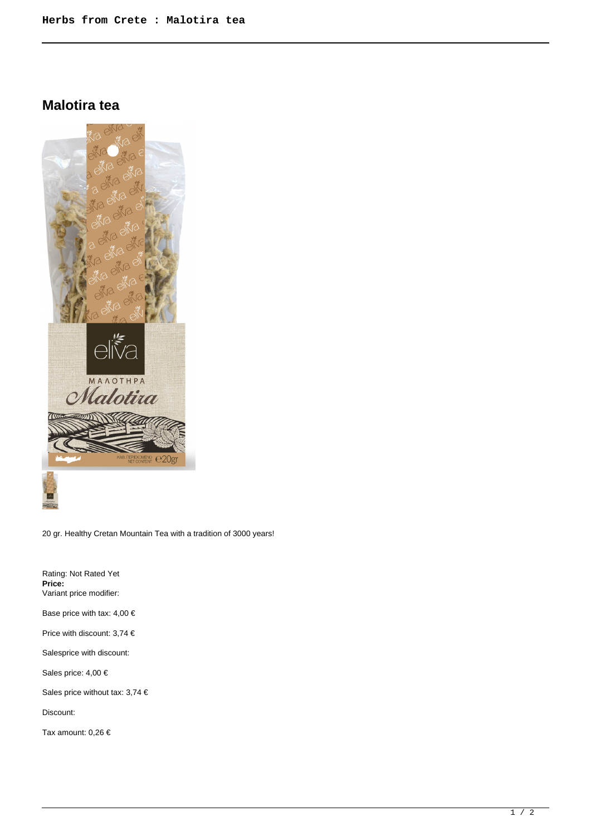## **Malotira tea**



20 gr. Healthy Cretan Mountain Tea with a tradition of 3000 years!

Rating: Not Rated Yet **Price:**  Variant price modifier: Base price with tax: 4,00 € Price with discount: 3,74 € Salesprice with discount: Sales price: 4,00 € Sales price without tax: 3,74 € Discount: Tax amount: 0,26 €